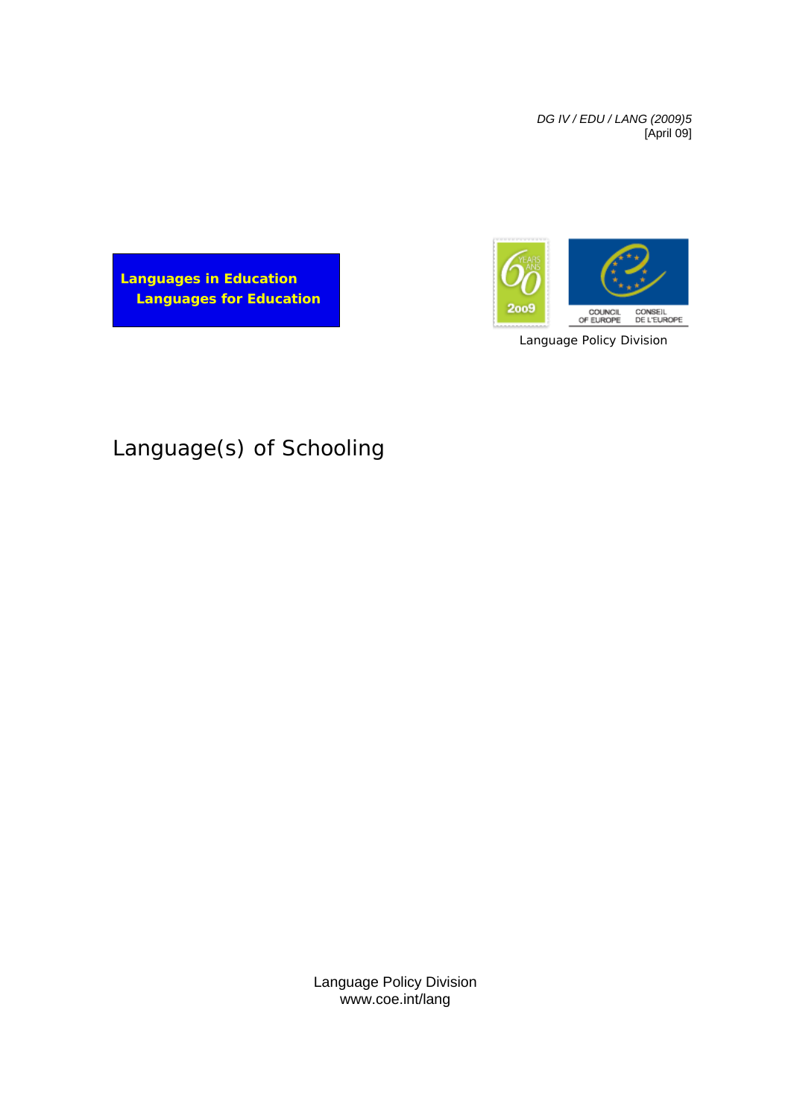*DG IV / EDU / LANG (2009)5* [April 09]



Language Policy Division

**Languages in Education Languages for Education**

# Language(s) of Schooling

Language Policy Division www.coe.int/lang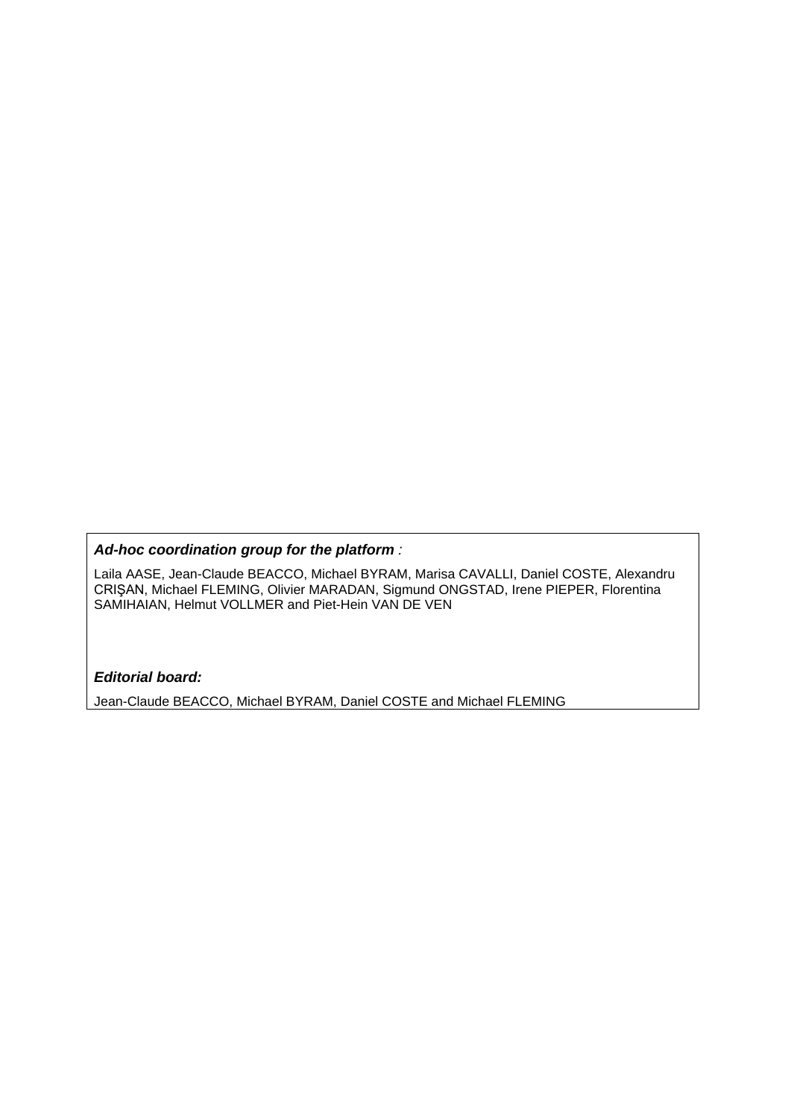#### *Ad-hoc coordination group for the platform :*

Laila AASE, Jean-Claude BEACCO, Michael BYRAM, Marisa CAVALLI, Daniel COSTE, Alexandru CRIŞAN, Michael FLEMING, Olivier MARADAN, Sigmund ONGSTAD, Irene PIEPER, Florentina SAMIHAIAN, Helmut VOLLMER and Piet-Hein VAN DE VEN

#### *Editorial board:*

Jean-Claude BEACCO, Michael BYRAM, Daniel COSTE and Michael FLEMING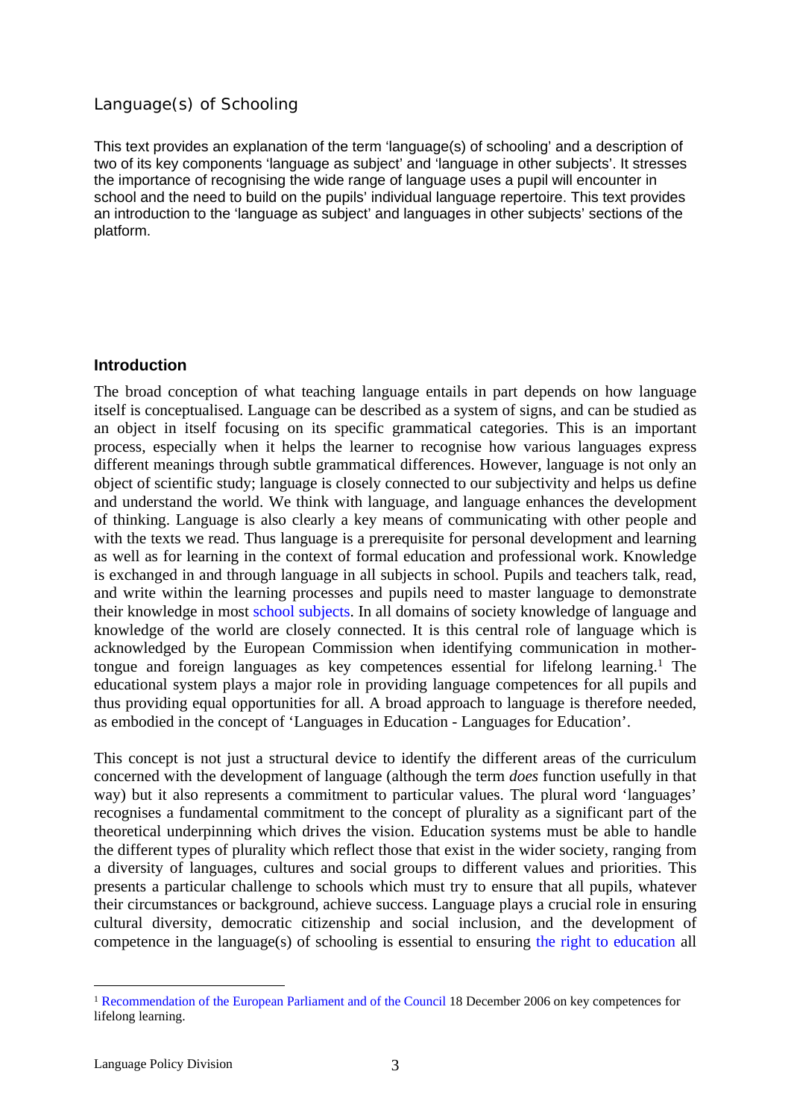#### Language(s) of Schooling

This text provides an explanation of the term 'language(s) of schooling' and a description of two of its key components 'language as subject' and 'language in other subjects'. It stresses the importance of recognising the wide range of language uses a pupil will encounter in school and the need to build on the pupils' individual language repertoire. This text provides an introduction to the 'language as subject' and languages in other subjects' sections of the platform.

### **Introduction**

The broad conception of what teaching language entails in part depends on how language itself is conceptualised. Language can be described as a system of signs, and can be studied as an object in itself focusing on its specific grammatical categories. This is an important process, especially when it helps the learner to recognise how various languages express different meanings through subtle grammatical differences. However, language is not only an object of scientific study; language is closely connected to our subjectivity and helps us define and understand the world. We think with language, and language enhances the development of thinking. Language is also clearly a key means of communicating with other people and with the texts we read. Thus language is a prerequisite for personal development and learning as well as for learning in the context of formal education and professional work. Knowledge is exchanged in and through language in all subjects in school. Pupils and teachers talk, read, and write within the learning processes and pupils need to master language to demonstrate their knowledge in most school [subjects.](http://www.coe.int/t/dg4/linguistic/Source/LE_texts_Source/LangInOtherSubjects_en.doc) In all domains of society knowledge of language and knowledge of the world are closely connected. It is this central role of language which is acknowledged by the European Commission when identifying communication in mothertongue and foreign languages as key competences essential for lifelong learning.<sup>1</sup> The educational system plays a major role in providing language competences for all pupils and thus providing equal opportunities for all. A broad approach to language is therefore needed, as embodied in the concept of 'Languages in Education - Languages for Education'.

This concept is not just a structural device to identify the different areas of the curriculum concerned with the development of language (although the term *does* function usefully in that way) but it also represents a commitment to particular values. The plural word 'languages' recognises a fundamental commitment to the concept of plurality as a significant part of the theoretical underpinning which drives the vision. Education systems must be able to handle the different types of plurality which reflect those that exist in the wider society, ranging from a diversity of languages, cultures and social groups to different values and priorities. This presents a particular challenge to schools which must try to ensure that all pupils, whatever their circumstances or background, achieve success. Language plays a crucial role in ensuring cultural diversity, democratic citizenship and social inclusion, and the development of competence in the language(s) of schooling is essential to ensuring the right to [education](http://www.coe.int/t/dg4/linguistic/Source/LE_texts_Source/EducPlurInter-Droit_fr.doc) all

<sup>1</sup> [Recommendation](http://eur-lex.europa.eu/LexUriServ/site/en/oj/2006/l_394/l_39420061230en00100018.pdf) of the European Parliament and of the Council 18 December 2006 on key competences for lifelong learning.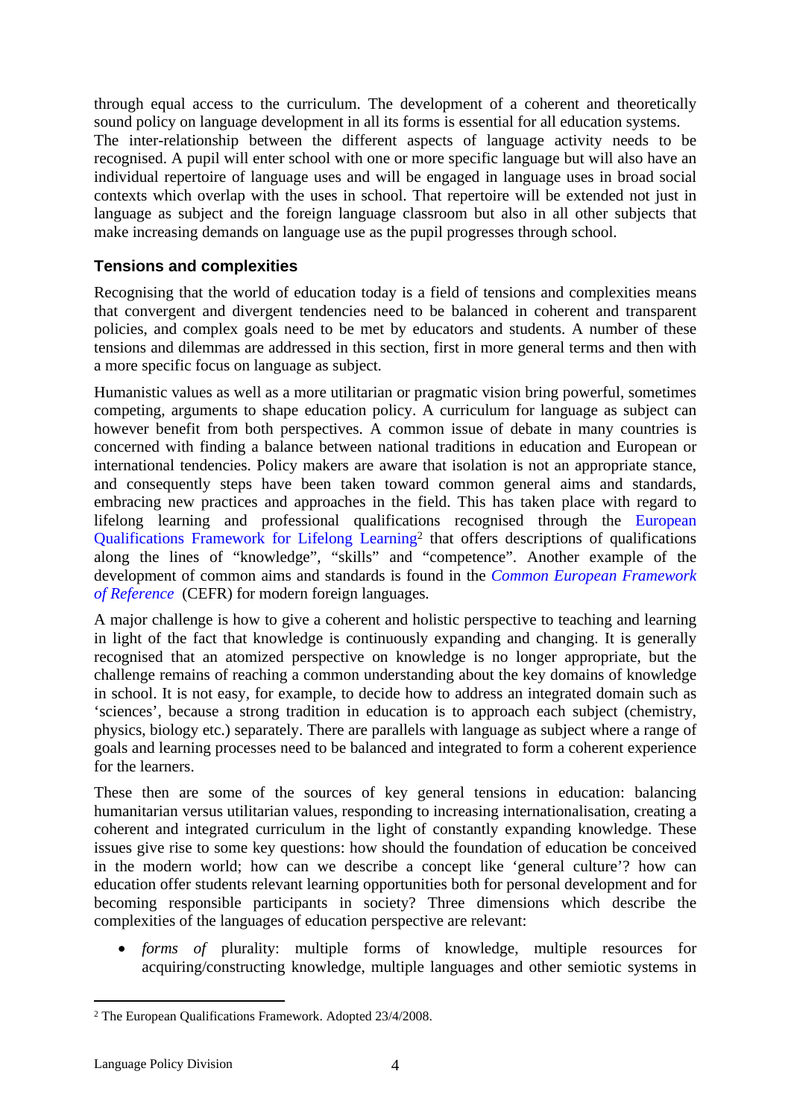through equal access to the curriculum. The development of a coherent and theoretically sound policy on language development in all its forms is essential for all education systems. The inter-relationship between the different aspects of language activity needs to be recognised. A pupil will enter school with one or more specific language but will also have an individual repertoire of language uses and will be engaged in language uses in broad social contexts which overlap with the uses in school. That repertoire will be extended not just in language as subject and the foreign language classroom but also in all other subjects that make increasing demands on language use as the pupil progresses through school.

## **Tensions and complexities**

Recognising that the world of education today is a field of tensions and complexities means that convergent and divergent tendencies need to be balanced in coherent and transparent policies, and complex goals need to be met by educators and students. A number of these tensions and dilemmas are addressed in this section, first in more general terms and then with a more specific focus on language as subject.

Humanistic values as well as a more utilitarian or pragmatic vision bring powerful, sometimes competing, arguments to shape education policy. A curriculum for language as subject can however benefit from both perspectives. A common issue of debate in many countries is concerned with finding a balance between national traditions in education and European or international tendencies. Policy makers are aware that isolation is not an appropriate stance, and consequently steps have been taken toward common general aims and standards, embracing new practices and approaches in the field. This has taken place with regard to lifelong learning and professional qualifications recognised through the [European](http://ec.europa.eu/education/lifelong-learning-policy/doc44_en.htm) [Qualifications](http://ec.europa.eu/education/lifelong-learning-policy/doc44_en.htm) Framework for Lifelong Learning<sup>2</sup> that offers descriptions of qualifications along the lines of "knowledge", "skills" and "competence". Another example of the development of common aims and standards is found in the *Common European [Framework](http://www.coe.int/T/DG4/Linguistic/CADRE_EN.asp) of [Reference](http://www.coe.int/T/DG4/Linguistic/CADRE_EN.asp)* (CEFR) for modern foreign languages*.*

A major challenge is how to give a coherent and holistic perspective to teaching and learning in light of the fact that knowledge is continuously expanding and changing. It is generally recognised that an atomized perspective on knowledge is no longer appropriate, but the challenge remains of reaching a common understanding about the key domains of knowledge in school. It is not easy, for example, to decide how to address an integrated domain such as 'sciences', because a strong tradition in education is to approach each subject (chemistry, physics, biology etc.) separately. There are parallels with language as subject where a range of goals and learning processes need to be balanced and integrated to form a coherent experience for the learners.

These then are some of the sources of key general tensions in education: balancing humanitarian versus utilitarian values, responding to increasing internationalisation, creating a coherent and integrated curriculum in the light of constantly expanding knowledge. These issues give rise to some key questions: how should the foundation of education be conceived in the modern world; how can we describe a concept like 'general culture'? how can education offer students relevant learning opportunities both for personal development and for becoming responsible participants in society? Three dimensions which describe the complexities of the languages of education perspective are relevant:

 *forms of* plurality: multiple forms of knowledge, multiple resources for acquiring/constructing knowledge, multiple languages and other semiotic systems in

<sup>2</sup> The European Qualifications Framework. Adopted 23/4/2008.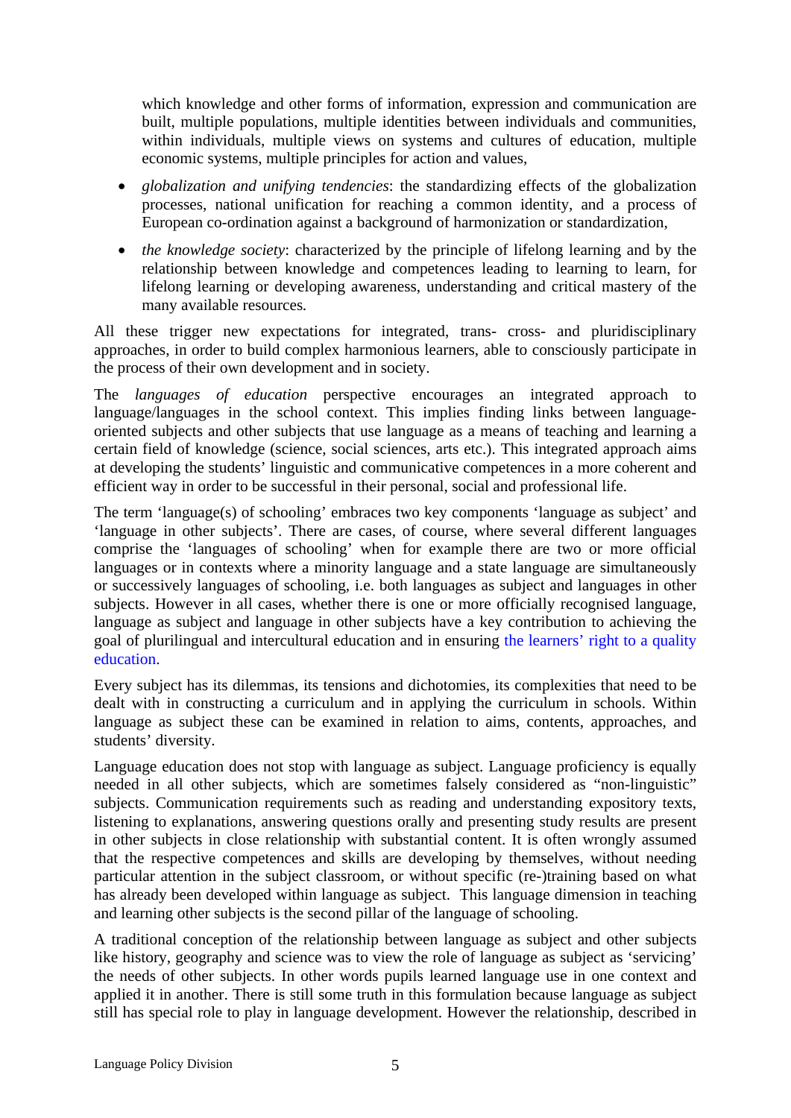which knowledge and other forms of information, expression and communication are built, multiple populations, multiple identities between individuals and communities, within individuals, multiple views on systems and cultures of education, multiple economic systems, multiple principles for action and values,

- *globalization and unifying tendencies*: the standardizing effects of the globalization processes, national unification for reaching a common identity, and a process of European co-ordination against a background of harmonization or standardization*,*
- *the knowledge society*: characterized by the principle of lifelong learning and by the relationship between knowledge and competences leading to learning to learn, for lifelong learning or developing awareness, understanding and critical mastery of the many available resources*.*

All these trigger new expectations for integrated, trans- cross- and pluridisciplinary approaches, in order to build complex harmonious learners, able to consciously participate in the process of their own development and in society.

The *languages of education* perspective encourages an integrated approach to language/languages in the school context. This implies finding links between languageoriented subjects and other subjects that use language as a means of teaching and learning a certain field of knowledge (science, social sciences, arts etc.). This integrated approach aims at developing the students' linguistic and communicative competences in a more coherent and efficient way in order to be successful in their personal, social and professional life.

The term 'language(s) of schooling' embraces two key components 'language as subject' and 'language in other subjects'. There are cases, of course, where several different languages comprise the 'languages of schooling' when for example there are two or more official languages or in contexts where a minority language and a state language are simultaneously or successively languages of schooling, i.e. both languages as subject and languages in other subjects. However in all cases, whether there is one or more officially recognised language, language as subject and language in other subjects have a key contribution to achieving the goal of plurilingual and intercultural education and in ensuring the [learners'](http://www.coe.int/t/dg4/linguistic/Source/LE_texts_Source/EducPlurInter-Projet_en.doc) right to a quality [education](http://www.coe.int/t/dg4/linguistic/Source/LE_texts_Source/EducPlurInter-Projet_en.doc).

Every subject has its dilemmas, its tensions and dichotomies, its complexities that need to be dealt with in constructing a curriculum and in applying the curriculum in schools. Within language as subject these can be examined in relation to aims, contents, approaches, and students' diversity.

Language education does not stop with language as subject. Language proficiency is equally needed in all other subjects, which are sometimes falsely considered as "non-linguistic" subjects. Communication requirements such as reading and understanding expository texts, listening to explanations, answering questions orally and presenting study results are present in other subjects in close relationship with substantial content. It is often wrongly assumed that the respective competences and skills are developing by themselves, without needing particular attention in the subject classroom, or without specific (re-)training based on what has already been developed within language as subject. This language dimension in teaching and learning other subjects is the second pillar of the language of schooling.

A traditional conception of the relationship between language as subject and other subjects like history, geography and science was to view the role of language as subject as 'servicing' the needs of other subjects. In other words pupils learned language use in one context and applied it in another. There is still some truth in this formulation because language as subject still has special role to play in language development. However the relationship, described in